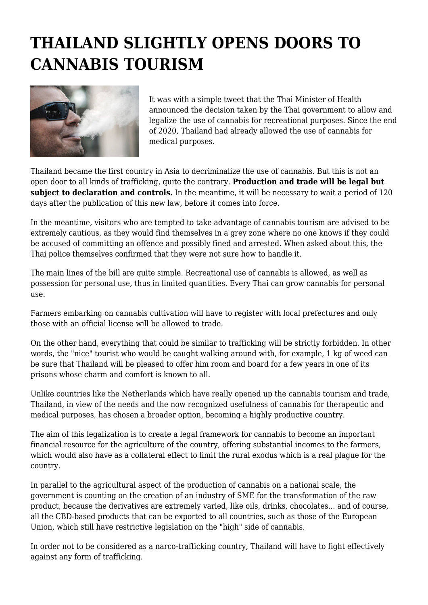## **THAILAND SLIGHTLY OPENS DOORS TO CANNABIS TOURISM**



It was with a simple tweet that the Thai Minister of Health announced the decision taken by the Thai government to allow and legalize the use of cannabis for recreational purposes. Since the end of 2020, Thailand had already allowed the use of cannabis for medical purposes.

Thailand became the first country in Asia to decriminalize the use of cannabis. But this is not an open door to all kinds of trafficking, quite the contrary. **Production and trade will be legal but subject to declaration and controls.** In the meantime, it will be necessary to wait a period of 120 days after the publication of this new law, before it comes into force.

In the meantime, visitors who are tempted to take advantage of cannabis tourism are advised to be extremely cautious, as they would find themselves in a grey zone where no one knows if they could be accused of committing an offence and possibly fined and arrested. When asked about this, the Thai police themselves confirmed that they were not sure how to handle it.

The main lines of the bill are quite simple. Recreational use of cannabis is allowed, as well as possession for personal use, thus in limited quantities. Every Thai can grow cannabis for personal use.

Farmers embarking on cannabis cultivation will have to register with local prefectures and only those with an official license will be allowed to trade.

On the other hand, everything that could be similar to trafficking will be strictly forbidden. In other words, the "nice" tourist who would be caught walking around with, for example, 1 kg of weed can be sure that Thailand will be pleased to offer him room and board for a few years in one of its prisons whose charm and comfort is known to all.

Unlike countries like the Netherlands which have really opened up the cannabis tourism and trade, Thailand, in view of the needs and the now recognized usefulness of cannabis for therapeutic and medical purposes, has chosen a broader option, becoming a highly productive country.

The aim of this legalization is to create a legal framework for cannabis to become an important financial resource for the agriculture of the country, offering substantial incomes to the farmers, which would also have as a collateral effect to limit the rural exodus which is a real plague for the country.

In parallel to the agricultural aspect of the production of cannabis on a national scale, the government is counting on the creation of an industry of SME for the transformation of the raw product, because the derivatives are extremely varied, like oils, drinks, chocolates... and of course, all the CBD-based products that can be exported to all countries, such as those of the European Union, which still have restrictive legislation on the "high" side of cannabis.

In order not to be considered as a narco-trafficking country, Thailand will have to fight effectively against any form of trafficking.